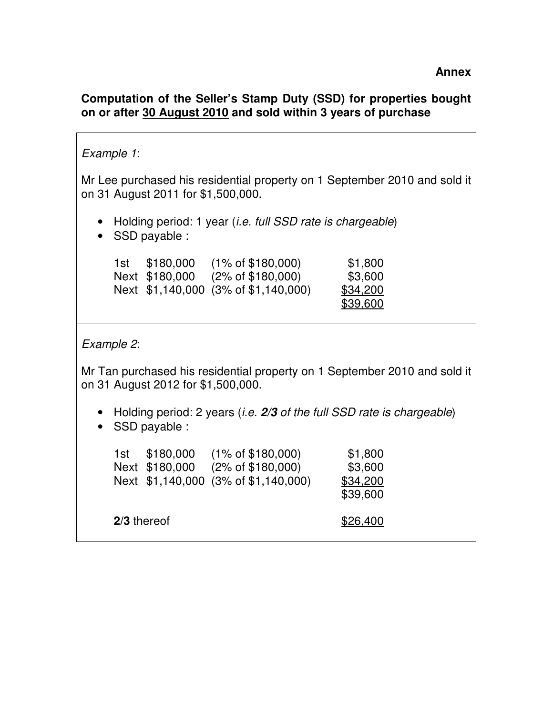## **Computation of the Seller's Stamp Duty (SSD) for properties bought on or after 30 August 2010 and sold within 3 years of purchase**

## Example 1: Mr Lee purchased his residential property on 1 September 2010 and sold it on 31 August 2011 for \$1,500,000. • Holding period: 1 year *(i.e. full SSD rate is chargeable)* • SSD payable : 1st \$180,000 (1% of \$180,000) \$1,800 Next \$180,000 (2% of \$180,000) \$3,600 Next \$1,140,000 (3% of \$1,140,000) \$34,200 \$39,600 Example 2: Mr Tan purchased his residential property on 1 September 2010 and sold it on 31 August 2012 for \$1,500,000. • Holding period: 2 years (i.e. **2/3** of the full SSD rate is chargeable) • SSD payable : 1st \$180,000 (1% of \$180,000) \$1,800 Next \$180,000 (2% of \$180,000) \$3,600 Next \$1,140,000 (3% of \$1,140,000) \$34,200 \$39,600 **2/3** thereof  $$26,400$